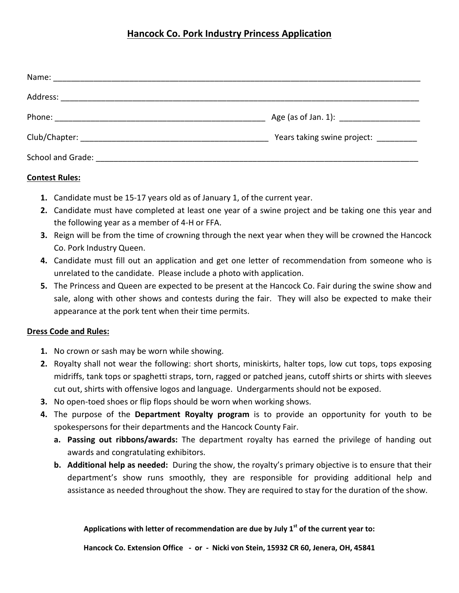## **Hancock Co. Pork Industry Princess Application**

|                   | Years taking swine project: ________ |
|-------------------|--------------------------------------|
| School and Grade: |                                      |

## **Contest Rules:**

- **1.** Candidate must be 15-17 years old as of January 1, of the current year.
- **2.** Candidate must have completed at least one year of a swine project and be taking one this year and the following year as a member of 4-H or FFA.
- **3.** Reign will be from the time of crowning through the next year when they will be crowned the Hancock Co. Pork Industry Queen.
- **4.** Candidate must fill out an application and get one letter of recommendation from someone who is unrelated to the candidate. Please include a photo with application.
- **5.** The Princess and Queen are expected to be present at the Hancock Co. Fair during the swine show and sale, along with other shows and contests during the fair. They will also be expected to make their appearance at the pork tent when their time permits.

## **Dress Code and Rules:**

- **1.** No crown or sash may be worn while showing.
- **2.** Royalty shall not wear the following: short shorts, miniskirts, halter tops, low cut tops, tops exposing midriffs, tank tops or spaghetti straps, torn, ragged or patched jeans, cutoff shirts or shirts with sleeves cut out, shirts with offensive logos and language. Undergarments should not be exposed.
- **3.** No open-toed shoes or flip flops should be worn when working shows.
- **4.** The purpose of the **Department Royalty program** is to provide an opportunity for youth to be spokespersons for their departments and the Hancock County Fair.
	- **a. Passing out ribbons/awards:** The department royalty has earned the privilege of handing out awards and congratulating exhibitors.
	- **b. Additional help as needed:** During the show, the royalty's primary objective is to ensure that their department's show runs smoothly, they are responsible for providing additional help and assistance as needed throughout the show. They are required to stay for the duration of the show.

## **Applications with letter of recommendation are due by July 1st of the current year to:**

**Hancock Co. Extension Office - or - Nicki von Stein, 15932 CR 60, Jenera, OH, 45841**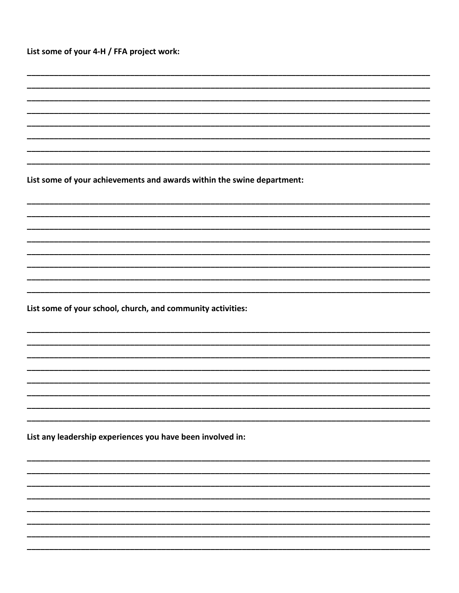List some of your achievements and awards within the swine department:

List some of your school, church, and community activities:

List any leadership experiences you have been involved in: